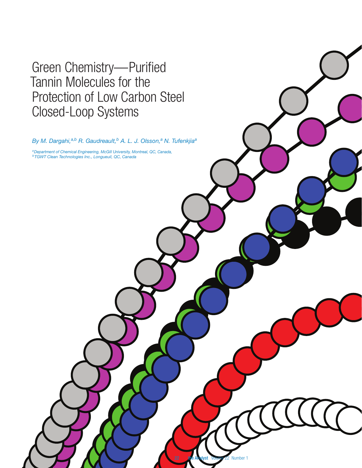# Green Chemistry—Purified Tannin Molecules for the Protection of Low Carbon Steel Closed-Loop Systems

By M. Dargahi,<sup>a,b</sup> R. Gaudreault,<sup>b</sup> A. L. J. Olsson,<sup>a</sup> N. Tufenkjia<sup>a</sup>

**Number** 

*aDepartment of Chemical Engineering, McGill University, Montreal, QC, Canada, bTGWT Clean Technologies Inc., Longueuil, QC, Canada*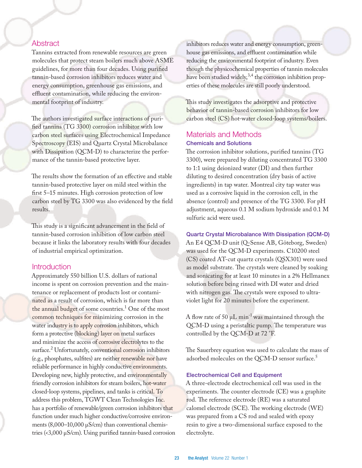# Abstract

Tannins extracted from renewable resources are green molecules that protect steam boilers much above ASME guidelines, for more than four decades. Using purified tannin-based corrosion inhibitors reduces water and energy consumption, greenhouse gas emissions, and effluent contamination, while reducing the environmental footprint of industry.

The authors investigated surface interactions of purified tannins (TG 3300) corrosion inhibitor with low carbon steel surfaces using Electrochemical Impedance Spectroscopy (EIS) and Quartz Crystal Microbalance with Dissipation (QCM-D) to characterize the performance of the tannin-based protective layer.

The results show the formation of an effective and stable tannin-based protective layer on mild steel within the first 5–15 minutes. High corrosion protection of low carbon steel by TG 3300 was also evidenced by the field results.

This study is a significant advancement in the field of tannin-based corrosion inhibition of low carbon steel because it links the laboratory results with four decades of industrial empirical optimization.

## **Introduction**

Approximately 550 billion U.S. dollars of national income is spent on corrosion prevention and the maintenance or replacement of products lost or contaminated as a result of corrosion, which is far more than the annual budget of some countries.<sup>1</sup> One of the most common techniques for minimizing corrosion in the water industry is to apply corrosion inhibitors, which form a protective (blocking) layer on metal surfaces and minimize the access of corrosive electrolytes to the surface.<sup>2</sup> Unfortunately, conventional corrosion inhibitors (e.g., phosphates, sulfites) are neither renewable nor have reliable performance in highly conductive environments. Developing new, highly protective, and environmentally friendly corrosion inhibitors for steam boilers, hot-water closed-loop systems, pipelines, and tanks is critical. To address this problem, TGWT Clean Technologies Inc. has a portfolio of renewable/green corrosion inhibitors that function under much higher conductive/corrosive environments (8,000–10,000 µS/cm) than conventional chemistries (<3,000 µS/cm). Using purified tannin-based corrosion inhibitors reduces water and energy consumption, greenhouse gas emissions, and effluent contamination while reducing the environmental footprint of industry. Even though the physicochemical properties of tannin molecules have been studied widely,  $3,4$  the corrosion inhibition properties of these molecules are still poorly understood.

This study investigates the adsorptive and protective behavior of tannin-based corrosion inhibitors for low carbon steel (CS) hot-water closed-loop systems/boilers.

# Materials and Methods Chemicals and Solutions

The corrosion inhibitor solutions, purified tannins (TG 3300), were prepared by diluting concentrated TG 3300 to 1:1 using deionized water (DI) and then further diluting to desired concentration (dry basis of active ingredients) in tap water. Montreal city tap water was used as a corrosive liquid in the corrosion cell, in the absence (control) and presence of the TG 3300. For pH adjustment, aqueous 0.1 M sodium hydroxide and 0.1 M sulfuric acid were used.

Quartz Crystal Microbalance With Dissipation (QCM-D)

An E4 QCM-D unit (Q-Sense AB, Göteborg, Sweden) was used for the QCM-D experiments. C10200 steel (CS) coated AT-cut quartz crystals (QSX301) were used as model substrate. The crystals were cleaned by soaking and sonicating for at least 10 minutes in a 2% Hellmanex solution before being rinsed with DI water and dried with nitrogen gas. The crystals were exposed to ultraviolet light for 20 minutes before the experiment.

A flow rate of 50  $\mu$ L min<sup>-1</sup> was maintained through the QCM-D using a peristaltic pump. The temperature was controlled by the QCM-D at 72 °F.

The Sauerbrey equation was used to calculate the mass of adsorbed molecules on the QCM-D sensor surface.<sup>5</sup>

#### Electrochemical Cell and Equipment

A three-electrode electrochemical cell was used in the experiments. The counter electrode (CE) was a graphite rod. The reference electrode (RE) was a saturated calomel electrode (SCE). The working electrode (WE) was prepared from a CS rod and sealed with epoxy resin to give a two-dimensional surface exposed to the electrolyte.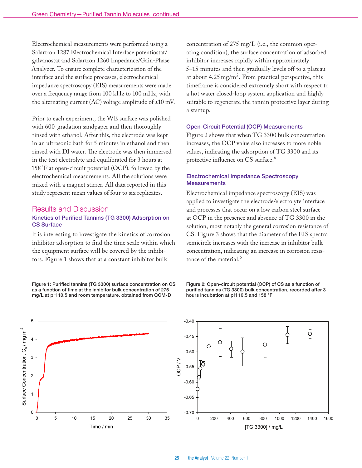Electrochemical measurements were performed using a Solartron 1287 Electrochemical Interface potentiostat/ galvanostat and Solartron 1260 Impedance/Gain-Phase Analyzer. To ensure complete characterization of the interface and the surface processes, electrochemical impedance spectroscopy (EIS) measurements were made over a frequency range from 100 kHz to 100 mHz, with the alternating current  $(AC)$  voltage amplitude of  $\pm 10$  mV.

Prior to each experiment, the WE surface was polished with 600-gradation sandpaper and then thoroughly rinsed with ethanol. After this, the electrode was kept in an ultrasonic bath for 5 minutes in ethanol and then rinsed with DI water. The electrode was then immersed in the test electrolyte and equilibrated for 3 hours at 158 °F at open-circuit potential (OCP), followed by the electrochemical measurements. All the solutions were mixed with a magnet stirrer. All data reported in this study represent mean values of four to six replicates.

### Results and Discussion

## Kinetics of Purified Tannins (TG 3300) Adsorption on CS Surface

It is interesting to investigate the kinetics of corrosion inhibitor adsorption to find the time scale within which the equipment surface will be covered by the inhibitors. Figure 1 shows that at a constant inhibitor bulk

Figure 1: Purified tannins (TG 3300) surface concentration on CS as a function of time at the inhibitor bulk concentration of 275 mg/L at pH 10.5 and room temperature, obtained from QCM-D

concentration of 275 mg/L (i.e., the common operating condition), the surface concentration of adsorbed inhibitor increases rapidly within approximately 5–15 minutes and then gradually levels off to a plateau at about  $4.25 \,\mathrm{mg/m^2}$ . From practical perspective, this timeframe is considered extremely short with respect to a hot water closed-loop system application and highly suitable to regenerate the tannin protective layer during a startup.

#### Open-Circuit Potential (OCP) Measurements

Figure 2 shows that when TG 3300 bulk concentration increases, the OCP value also increases to more noble values, indicating the adsorption of TG 3300 and its protective influence on CS surface.<sup>6</sup>

#### Electrochemical Impedance Spectroscopy **Measurements**

Electrochemical impedance spectroscopy (EIS) was applied to investigate the electrode/electrolyte interface and processes that occur on a low carbon steel surface at OCP in the presence and absence of TG 3300 in the solution, most notably the general corrosion resistance of CS. Figure 3 shows that the diameter of the EIS spectra semicircle increases with the increase in inhibitor bulk concentration, indicating an increase in corrosion resistance of the material.<sup>6</sup>



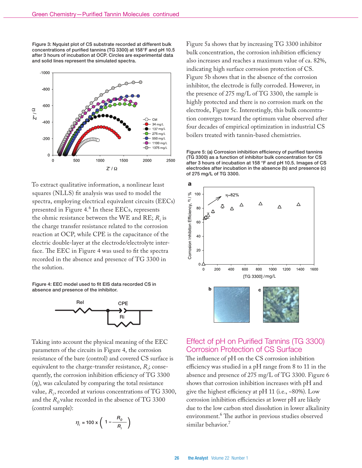Figure 3: Nyquist plot of CS substrate recorded at different bulk concentrations of purified tannins (TG 3300) at 158°F and pH 10.5 after 3 hours of incubation at OCP. Circles are experimental data and solid lines represent the simulated spectra.



To extract qualitative information, a nonlinear least squares (NLLS) fit analysis was used to model the spectra, employing electrical equivalent circuits (EECs) presented in Figure 4.<sup>6</sup> In these EECs, represents the ohmic resistance between the WE and RE;  $R_i$  is the charge transfer resistance related to the corrosion reaction at OCP, while CPE is the capacitance of the electric double-layer at the electrode/electrolyte interface. The EEC in Figure 4 was used to fit the spectra recorded in the absence and presence of TG 3300 in the solution.

Figure 4: EEC model used to fit EIS data recorded CS in absence and presence of the inhibitor.



Taking into account the physical meaning of the EEC parameters of the circuits in Figure 4, the corrosion resistance of the bare (control) and covered CS surface is equivalent to the charge-transfer resistance,  $R_i$ ; consequently, the corrosion inhibition efficiency of TG 3300 (η*i* ), was calculated by comparing the total resistance value, *Ri* , recorded at various concentrations of TG 3300, and the  $R_0$  value recorded in the absence of TG 3300 (control sample):

$$
\eta_i = 100 \times \left(1 - \frac{R_o}{R_i}\right)
$$

Figure 5a shows that by increasing TG 3300 inhibitor bulk concentration, the corrosion inhibition efficiency also increases and reaches a maximum value of ca. 82%, indicating high surface corrosion protection of CS. Figure 5b shows that in the absence of the corrosion inhibitor, the electrode is fully corroded. However, in the presence of 275 mg/L of TG 3300, the sample is highly protected and there is no corrosion mark on the electrode, Figure 5c. Interestingly, this bulk concentration converges toward the optimum value observed after four decades of empirical optimization in industrial CS boilers treated with tannin-based chemistries.

Figure 5: (a) Corrosion inhibition efficiency of purified tannins (TG 3300) as a function of inhibitor bulk concentration for CS after 3 hours of incubation at 158 °F and pH 10.5. Images of CS electrodes after incubation in the absence (b) and presence (c) of 275 mg/L of TG 3300.



# Effect of pH on Purified Tannins (TG 3300) Corrosion Protection of CS Surface

The influence of pH on the CS corrosion inhibition efficiency was studied in a pH range from 8 to 11 in the absence and presence of 275 mg/L of TG 3300. Figure 6 shows that corrosion inhibition increases with pH and give the highest efficiency at pH 11 (i.e., ~80%). Low corrosion inhibition efficiencies at lower pH are likely due to the low carbon steel dissolution in lower alkalinity environment.<sup>6</sup> The author in previous studies observed similar behavior.<sup>7</sup>